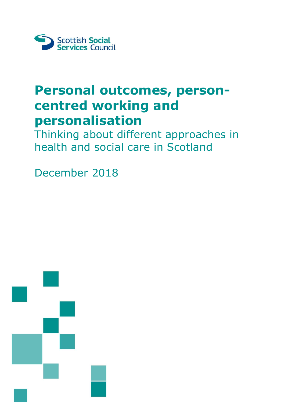

# **Personal outcomes, personcentred working and personalisation**

Thinking about different approaches in health and social care in Scotland

December 2018

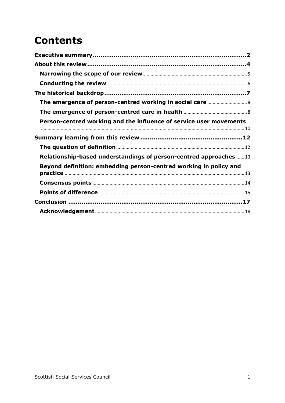## **Contents**

| Person-centred working and the influence of service user movements |  |
|--------------------------------------------------------------------|--|
|                                                                    |  |
|                                                                    |  |
|                                                                    |  |
| Relationship-based understandings of person-centred approaches 13  |  |
| Beyond definition: embedding person-centred working in policy and  |  |
|                                                                    |  |
|                                                                    |  |
|                                                                    |  |
|                                                                    |  |
|                                                                    |  |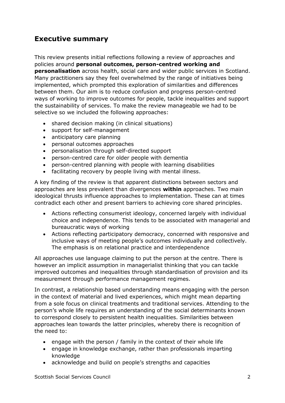## <span id="page-2-0"></span>**Executive summary**

This review presents initial reflections following a review of approaches and policies around **personal outcomes, person-centred working and personalisation** across health, social care and wider public services in Scotland. Many practitioners say they feel overwhelmed by the range of initiatives being implemented, which prompted this exploration of similarities and differences between them. Our aim is to reduce confusion and progress person-centred ways of working to improve outcomes for people, tackle inequalities and support the sustainability of services. To make the review manageable we had to be selective so we included the following approaches:

- shared decision making (in clinical situations)
- support for self-management
- anticipatory care planning
- personal outcomes approaches
- personalisation through self-directed support
- person-centred care for older people with dementia
- person-centred planning with people with learning disabilities
- facilitating recovery by people living with mental illness.

A key finding of the review is that apparent distinctions between sectors and approaches are less prevalent than divergences **within** approaches. Two main ideological thrusts influence approaches to implementation. These can at times contradict each other and present barriers to achieving core shared principles.

- Actions reflecting consumerist ideology, concerned largely with individual choice and independence. This tends to be associated with managerial and bureaucratic ways of working
- Actions reflecting participatory democracy, concerned with responsive and inclusive ways of meeting people's outcomes individually and collectively. The emphasis is on relational practice and interdependence

All approaches use language claiming to put the person at the centre. There is however an implicit assumption in managerialist thinking that you can tackle improved outcomes and inequalities through standardisation of provision and its measurement through performance management regimes.

In contrast, a relationship based understanding means engaging with the person in the context of material and lived experiences, which might mean departing from a sole focus on clinical treatments and traditional services. Attending to the person's whole life requires an understanding of the social determinants known to correspond closely to persistent health inequalities. Similarities between approaches lean towards the latter principles, whereby there is recognition of the need to:

- engage with the person / family in the context of their whole life
- engage in knowledge exchange, rather than professionals imparting knowledge
- acknowledge and build on people's strengths and capacities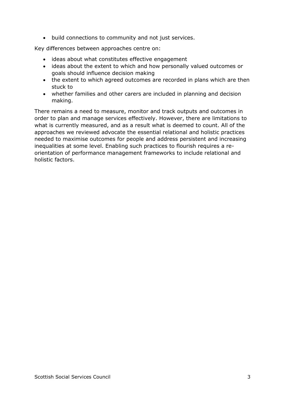build connections to community and not just services.

Key differences between approaches centre on:

- ideas about what constitutes effective engagement
- ideas about the extent to which and how personally valued outcomes or goals should influence decision making
- the extent to which agreed outcomes are recorded in plans which are then stuck to
- whether families and other carers are included in planning and decision making.

There remains a need to measure, monitor and track outputs and outcomes in order to plan and manage services effectively. However, there are limitations to what is currently measured, and as a result what is deemed to count. All of the approaches we reviewed advocate the essential relational and holistic practices needed to maximise outcomes for people and address persistent and increasing inequalities at some level. Enabling such practices to flourish requires a reorientation of performance management frameworks to include relational and holistic factors.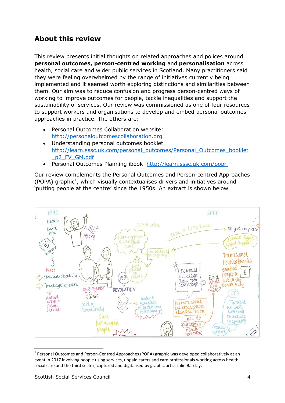## <span id="page-4-0"></span>**About this review**

This review presents initial thoughts on related approaches and polices around **personal outcomes, person-centred working** and **personalisation** across health, social care and wider public services in Scotland. Many practitioners said they were feeling overwhelmed by the range of initiatives currently being implemented and it seemed worth exploring distinctions and similarities between them. Our aim was to reduce confusion and progress person-centred ways of working to improve outcomes for people, tackle inequalities and support the sustainability of services. Our review was commissioned as one of four resources to support workers and organisations to develop and embed personal outcomes approaches in practice. The others are:

- Personal Outcomes Collaboration website: [http://personaloutcomescollaboration.org](http://personaloutcomescollaboration.org/)
- Understanding personal outcomes booklet [http://learn.sssc.uk.com/personal\\_outcomes/Personal\\_Outcomes\\_booklet](http://learn.sssc.uk.com/personal_outcomes/Personal_Outcomes_booklet_p2_FV_GM.pdf) [\\_p2\\_FV\\_GM.pdf](http://learn.sssc.uk.com/personal_outcomes/Personal_Outcomes_booklet_p2_FV_GM.pdf)
- Personal Outcomes Planning ibook <http://learn.sssc.uk.com/popr>

Our review complements the Personal Outcomes and Person-centred Approaches  $(POPA)$  graphic<sup>1</sup>, which visually contextualises drivers and initiatives around 'putting people at the centre' since the 1950s. An extract is shown below.



 $1$  Personal Outcomes and Person-Centred Approaches (POPA) graphic was developed collaboratively at an event in 2017 involving people using services, unpaid carers and care professionals working across health, social care and the third sector, captured and digitalised by graphic artist Julie Barclay.

**.**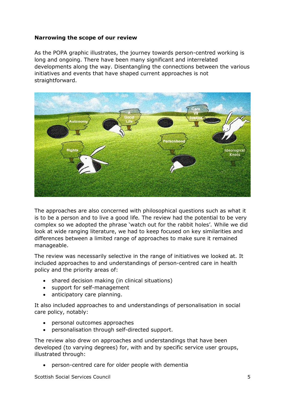#### <span id="page-5-0"></span>**Narrowing the scope of our review**

As the POPA graphic illustrates, the journey towards person-centred working is long and ongoing. There have been many significant and interrelated developments along the way. Disentangling the connections between the various initiatives and events that have shaped current approaches is not straightforward.



The approaches are also concerned with philosophical questions such as what it is to be a person and to live a good life*.* The review had the potential to be very complex so we adopted the phrase 'watch out for the rabbit holes'*.* While we did look at wide ranging literature, we had to keep focused on key similarities and differences between a limited range of approaches to make sure it remained manageable.

The review was necessarily selective in the range of initiatives we looked at. It included approaches to and understandings of person-centred care in health policy and the priority areas of:

- shared decision making (in clinical situations)
- support for self-management
- anticipatory care planning.

It also included approaches to and understandings of personalisation in social care policy, notably:

- personal outcomes approaches
- personalisation through self-directed support.

The review also drew on approaches and understandings that have been developed (to varying degrees) for, with and by specific service user groups, illustrated through:

person-centred care for older people with dementia

Scottish Social Services Council 5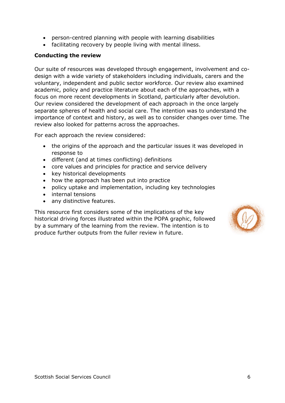- person-centred planning with people with learning disabilities
- facilitating recovery by people living with mental illness.

#### <span id="page-6-0"></span>**Conducting the review**

Our suite of resources was developed through engagement, involvement and codesign with a wide variety of stakeholders including individuals, carers and the voluntary, independent and public sector workforce. Our review also examined academic, policy and practice literature about each of the approaches, with a focus on more recent developments in Scotland, particularly after devolution. Our review considered the development of each approach in the once largely separate spheres of health and social care. The intention was to understand the importance of context and history, as well as to consider changes over time. The review also looked for patterns across the approaches.

For each approach the review considered:

- the origins of the approach and the particular issues it was developed in response to
- different (and at times conflicting) definitions
- core values and principles for practice and service delivery
- key historical developments
- how the approach has been put into practice
- policy uptake and implementation, including key technologies
- internal tensions
- any distinctive features.

This resource first considers some of the implications of the key historical driving forces illustrated within the POPA graphic, followed by a summary of the learning from the review. The intention is to produce further outputs from the fuller review in future.

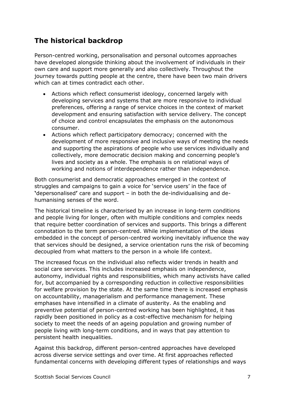## <span id="page-7-0"></span>**The historical backdrop**

Person-centred working, personalisation and personal outcomes approaches have developed alongside thinking about the involvement of individuals in their own care and support more generally and also collectively. Throughout the journey towards putting people at the centre, there have been two main drivers which can at times contradict each other.

- Actions which reflect consumerist ideology, concerned largely with developing services and systems that are more responsive to individual preferences, offering a range of service choices in the context of market development and ensuring satisfaction with service delivery. The concept of choice and control encapsulates the emphasis on the autonomous consumer.
- Actions which reflect participatory democracy; concerned with the development of more responsive and inclusive ways of meeting the needs and supporting the aspirations of people who use services individually and collectively, more democratic decision making and concerning people's lives and society as a whole. The emphasis is on relational ways of working and notions of interdependence rather than independence.

Both consumerist and democratic approaches emerged in the context of struggles and campaigns to gain a voice for 'service users' in the face of **'**depersonalised**'** care and support – in both the de-individualising and dehumanising senses of the word.

The historical timeline is characterised by an increase in long-term conditions and people living for longer, often with multiple conditions and complex needs that require better coordination of services and supports. This brings a different connotation to the term person-centred. While implementation of the ideas embedded in the concept of person-centred working inevitably influence the way that services should be designed, a service orientation runs the risk of becoming decoupled from what matters to the person in a whole life context.

The increased focus on the individual also reflects wider trends in health and social care services. This includes increased emphasis on independence, autonomy, individual rights and responsibilities, which many activists have called for, but accompanied by a corresponding reduction in collective responsibilities for welfare provision by the state. At the same time there is increased emphasis on accountability, managerialism and performance management. These emphases have intensified in a climate of austerity. As the enabling and preventive potential of person-centred working has been highlighted, it has rapidly been positioned in policy as a cost-effective mechanism for helping society to meet the needs of an ageing population and growing number of people living with long-term conditions, and in ways that pay attention to persistent health inequalities.

Against this backdrop, different person-centred approaches have developed across diverse service settings and over time. At first approaches reflected fundamental concerns with developing different types of relationships and ways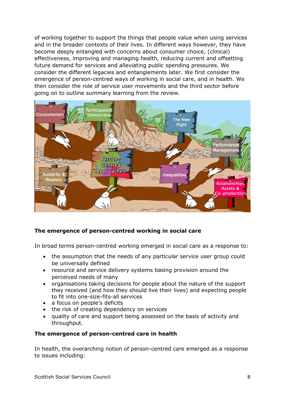of working together to support the things that people value when using services and in the broader contexts of their lives. In different ways however, they have become deeply entangled with concerns about consumer choice, (clinical) effectiveness, improving and managing health, reducing current and offsetting future demand for services and alleviating public spending pressures. We consider the different legacies and entanglements later. We first consider the emergence of person-centred ways of working in social care, and in health. We then consider the role of service user movements and the third sector before going on to outline summary learning from the review.



#### <span id="page-8-0"></span>**The emergence of person-centred working in social care**

In broad terms person-centred working emerged in social care as a response to:

- the assumption that the needs of any particular service user group could be universally defined
- resource and service delivery systems basing provision around the perceived needs of many
- organisations taking decisions for people about the nature of the support they received (and how they should live their lives) and expecting people to fit into one-size-fits-all services
- a focus on people's deficits
- the risk of creating dependency on services
- quality of care and support being assessed on the basis of activity and throughput.

#### <span id="page-8-1"></span>**The emergence of person-centred care in health**

In health, the overarching notion of person-centred care emerged as a response to issues including: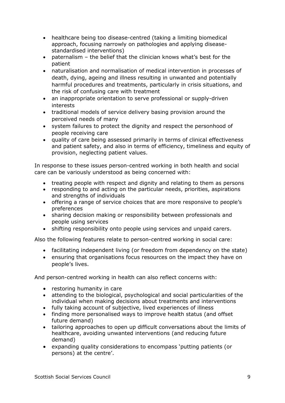- healthcare being too disease-centred (taking a limiting biomedical approach, focusing narrowly on pathologies and applying diseasestandardised interventions)
- paternalism the belief that the clinician knows what's best for the patient
- naturalisation and normalisation of medical intervention in processes of death, dying, ageing and illness resulting in unwanted and potentially harmful procedures and treatments, particularly in crisis situations, and the risk of confusing care with treatment
- an inappropriate orientation to serve professional or supply-driven interests
- traditional models of service delivery basing provision around the perceived needs of many
- system failures to protect the dignity and respect the personhood of people receiving care
- quality of care being assessed primarily in terms of clinical effectiveness and patient safety, and also in terms of efficiency, timeliness and equity of provision, neglecting patient values.

In response to these issues person-centred working in both health and social care can be variously understood as being concerned with:

- treating people with respect and dignity and relating to them as persons
- responding to and acting on the particular needs, priorities, aspirations and strengths of individuals
- offering a range of service choices that are more responsive to people's preferences
- sharing decision making or responsibility between professionals and people using services
- shifting responsibility onto people using services and unpaid carers.

Also the following features relate to person-centred working in social care:

- facilitating independent living (or freedom from dependency on the state)
- ensuring that organisations focus resources on the impact they have on people's lives.

And person-centred working in health can also reflect concerns with:

- restoring humanity in care
- attending to the biological, psychological and social particularities of the individual when making decisions about treatments and interventions
- fully taking account of subjective, lived experiences of illness
- finding more personalised ways to improve health status (and offset future demand)
- tailoring approaches to open up difficult conversations about the limits of healthcare, avoiding unwanted interventions (and reducing future demand)
- expanding quality considerations to encompass 'putting patients (or persons) at the centre'.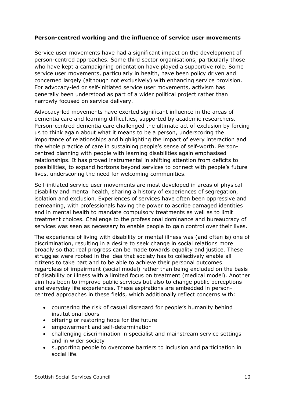#### <span id="page-10-0"></span>**Person-centred working and the influence of service user movements**

Service user movements have had a significant impact on the development of person-centred approaches. Some third sector organisations, particularly those who have kept a campaigning orientation have played a supportive role. Some service user movements, particularly in health, have been policy driven and concerned largely (although not exclusively) with enhancing service provision. For advocacy-led or self-initiated service user movements, activism has generally been understood as part of a wider political project rather than narrowly focused on service delivery.

Advocacy-led movements have exerted significant influence in the areas of dementia care and learning difficulties, supported by academic researchers. Person-centred dementia care challenged the ultimate act of exclusion by forcing us to think again about what it means to be a person, underscoring the importance of relationships and highlighting the impact of every interaction and the whole practice of care in sustaining people's sense of self-worth. Personcentred planning with people with learning disabilities again emphasised relationships. It has proved instrumental in shifting attention from deficits to possibilities, to expand horizons beyond services to connect with people's future lives, underscoring the need for welcoming communities.

Self-initiated service user movements are most developed in areas of physical disability and mental health, sharing a history of experiences of segregation, isolation and exclusion. Experiences of services have often been oppressive and demeaning, with professionals having the power to ascribe damaged identities and in mental health to mandate compulsory treatments as well as to limit treatment choices. Challenge to the professional dominance and bureaucracy of services was seen as necessary to enable people to gain control over their lives.

The experience of living with disability or mental illness was (and often is) one of discrimination, resulting in a desire to seek change in social relations more broadly so that real progress can be made towards equality and justice. These struggles were rooted in the idea that society has to collectively enable all citizens to take part and to be able to achieve their personal outcomes regardless of impairment (social model) rather than being excluded on the basis of disability or illness with a limited focus on treatment (medical model). Another aim has been to improve public services but also to change public perceptions and everyday life experiences. These aspirations are embedded in personcentred approaches in these fields, which additionally reflect concerns with:

- countering the risk of casual disregard for people's humanity behind institutional doors
- offering or restoring hope for the future
- empowerment and self-determination
- challenging discrimination in specialist and mainstream service settings and in wider society
- supporting people to overcome barriers to inclusion and participation in social life.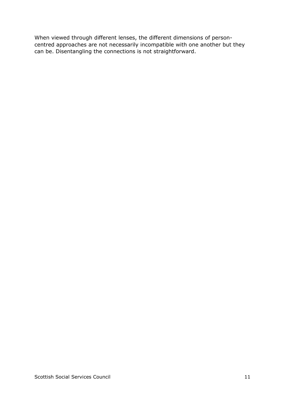When viewed through different lenses, the different dimensions of personcentred approaches are not necessarily incompatible with one another but they can be. Disentangling the connections is not straightforward.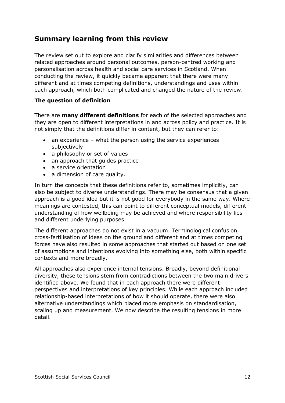## <span id="page-12-0"></span>**Summary learning from this review**

The review set out to explore and clarify similarities and differences between related approaches around personal outcomes, person-centred working and personalisation across health and social care services in Scotland. When conducting the review, it quickly became apparent that there were many different and at times competing definitions, understandings and uses within each approach, which both complicated and changed the nature of the review.

#### <span id="page-12-1"></span>**The question of definition**

There are **many different definitions** for each of the selected approaches and they are open to different interpretations in and across policy and practice. It is not simply that the definitions differ in content, but they can refer to:

- an experience what the person using the service experiences subjectively
- a philosophy or set of values
- an approach that quides practice
- a service orientation
- a dimension of care quality.

In turn the concepts that these definitions refer to, sometimes implicitly, can also be subject to diverse understandings. There may be consensus that a given approach is a good idea but it is not good for everybody in the same way. Where meanings are contested, this can point to different conceptual models, different understanding of how wellbeing may be achieved and where responsibility lies and different underlying purposes.

The different approaches do not exist in a vacuum. Terminological confusion, cross-fertilisation of ideas on the ground and different and at times competing forces have also resulted in some approaches that started out based on one set of assumptions and intentions evolving into something else, both within specific contexts and more broadly.

All approaches also experience internal tensions. Broadly, beyond definitional diversity, these tensions stem from contradictions between the two main drivers identified above. We found that in each approach there were different perspectives and interpretations of key principles. While each approach included relationship-based interpretations of how it should operate, there were also alternative understandings which placed more emphasis on standardisation, scaling up and measurement. We now describe the resulting tensions in more detail.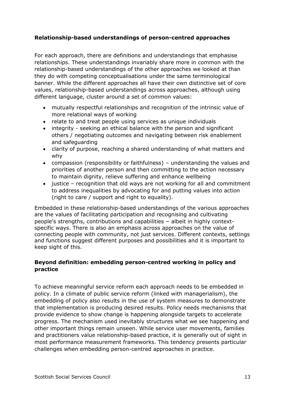#### <span id="page-13-0"></span>**Relationship-based understandings of person-centred approaches**

For each approach, there are definitions and understandings that emphasise relationships. These understandings invariably share more in common with the relationship-based understandings of the other approaches we looked at than they do with competing conceptualisations under the same terminological banner. While the different approaches all have their own distinctive set of core values, relationship-based understandings across approaches, although using different language, cluster around a set of common values:

- mutually respectful relationships and recognition of the intrinsic value of more relational ways of working
- relate to and treat people using services as unique individuals
- integrity seeking an ethical balance with the person and significant others / negotiating outcomes and navigating between risk enablement and safeguarding
- clarity of purpose, reaching a shared understanding of what matters and why
- compassion (responsibility or faithfulness) understanding the values and priorities of another person and then committing to the action necessary to maintain dignity, relieve suffering and enhance wellbeing
- justice recognition that old ways are not working for all and commitment to address inequalities by advocating for and putting values into action (right to care / support and right to equality).

Embedded in these relationship-based understandings of the various approaches are the values of facilitating participation and recognising and cultivating people's strengths, contributions and capabilities – albeit in highly contextspecific ways. There is also an emphasis across approaches on the value of connecting people with community, not just services. Different contexts, settings and functions suggest different purposes and possibilities and it is important to keep sight of this.

#### <span id="page-13-1"></span>**Beyond definition: embedding person-centred working in policy and practice**

To achieve meaningful service reform each approach needs to be embedded in policy. In a climate of public service reform (linked with managerialism), the embedding of policy also results in the use of system measures to demonstrate that implementation is producing desired results. Policy needs mechanisms that provide evidence to show change is happening alongside targets to accelerate progress. The mechanism used inevitably structures what we see happening and other important things remain unseen. While service user movements, families and practitioners value relationship-based practice, it is generally out of sight in most performance measurement frameworks. This tendency presents particular challenges when embedding person-centred approaches in practice.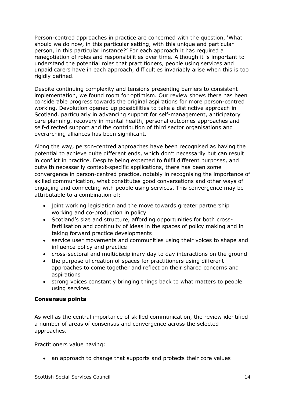Person-centred approaches in practice are concerned with the question, 'What should we do now, in this particular setting, with this unique and particular person, in this particular instance?' For each approach it has required a renegotiation of roles and responsibilities over time. Although it is important to understand the potential roles that practitioners, people using services and unpaid carers have in each approach, difficulties invariably arise when this is too rigidly defined.

Despite continuing complexity and tensions presenting barriers to consistent implementation, we found room for optimism. Our review shows there has been considerable progress towards the original aspirations for more person-centred working. Devolution opened up possibilities to take a distinctive approach in Scotland, particularly in advancing support for self-management, anticipatory care planning, recovery in mental health, personal outcomes approaches and self-directed support and the contribution of third sector organisations and overarching alliances has been significant.

Along the way, person-centred approaches have been recognised as having the potential to achieve quite different ends, which don't necessarily but can result in conflict in practice. Despite being expected to fulfil different purposes, and outwith necessarily context-specific applications, there has been some convergence in person-centred practice, notably in recognising the importance of skilled communication, what constitutes good conversations and other ways of engaging and connecting with people using services. This convergence may be attributable to a combination of:

- joint working legislation and the move towards greater partnership working and co-production in policy
- Scotland's size and structure, affording opportunities for both crossfertilisation and continuity of ideas in the spaces of policy making and in taking forward practice developments
- service user movements and communities using their voices to shape and influence policy and practice
- cross-sectoral and multidisciplinary day to day interactions on the ground
- the purposeful creation of spaces for practitioners using different approaches to come together and reflect on their shared concerns and aspirations
- strong voices constantly bringing things back to what matters to people using services.

#### <span id="page-14-0"></span>**Consensus points**

As well as the central importance of skilled communication, the review identified a number of areas of consensus and convergence across the selected approaches.

Practitioners value having:

• an approach to change that supports and protects their core values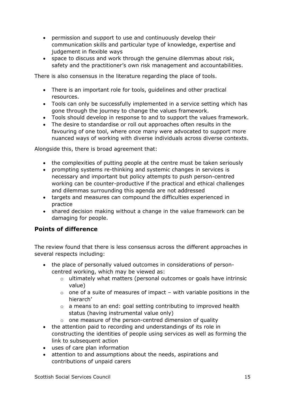- permission and support to use and continuously develop their communication skills and particular type of knowledge, expertise and judgement in flexible ways
- space to discuss and work through the genuine dilemmas about risk, safety and the practitioner's own risk management and accountabilities.

There is also consensus in the literature regarding the place of tools.

- There is an important role for tools, guidelines and other practical resources.
- Tools can only be successfully implemented in a service setting which has gone through the journey to change the values framework.
- Tools should develop in response to and to support the values framework.
- The desire to standardise or roll out approaches often results in the favouring of one tool, where once many were advocated to support more nuanced ways of working with diverse individuals across diverse contexts.

Alongside this, there is broad agreement that:

- the complexities of putting people at the centre must be taken seriously
- prompting systems re-thinking and systemic changes in services is necessary and important but policy attempts to push person-centred working can be counter-productive if the practical and ethical challenges and dilemmas surrounding this agenda are not addressed
- targets and measures can compound the difficulties experienced in practice
- shared decision making without a change in the value framework can be damaging for people.

#### <span id="page-15-0"></span>**Points of difference**

The review found that there is less consensus across the different approaches in several respects including:

- the place of personally valued outcomes in considerations of personcentred working, which may be viewed as:
	- o ultimately what matters (personal outcomes or goals have intrinsic value)
	- $\circ$  one of a suite of measures of impact with variable positions in the hierarch'
	- $\circ$  a means to an end: goal setting contributing to improved health status (having instrumental value only)
	- $\circ$  one measure of the person-centred dimension of quality
- the attention paid to recording and understandings of its role in constructing the identities of people using services as well as forming the link to subsequent action
- uses of care plan information
- attention to and assumptions about the needs, aspirations and contributions of unpaid carers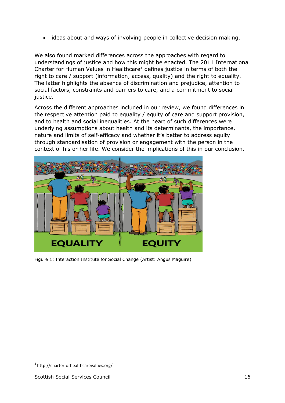• ideas about and ways of involving people in collective decision making.

We also found marked differences across the approaches with regard to understandings of justice and how this might be enacted. The 2011 International Charter for Human Values in Healthcare<sup>2</sup> defines justice in terms of both the right to care / support (information, access, quality) and the right to equality. The latter highlights the absence of discrimination and prejudice, attention to social factors, constraints and barriers to care, and a commitment to social justice.

Across the different approaches included in our review, we found differences in the respective attention paid to equality / equity of care and support provision, and to health and social inequalities. At the heart of such differences were underlying assumptions about health and its determinants, the importance, nature and limits of self-efficacy and whether it's better to address equity through standardisation of provision or engagement with the person in the context of his or her life. We consider the implications of this in our conclusion.



Figure 1: Interaction Institute for Social Change (Artist: Angus Maguire)

**<sup>.</sup>** 2 http://charterforhealthcarevalues.org/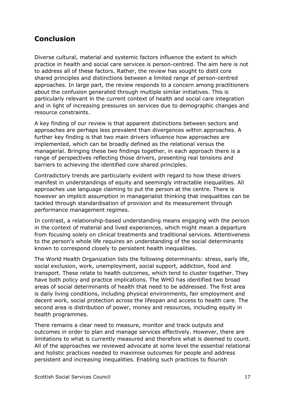### <span id="page-17-0"></span>**Conclusion**

Diverse cultural, material and systemic factors influence the extent to which practice in health and social care services is person-centred. The aim here is not to address all of these factors. Rather, the review has sought to distil core shared principles and distinctions between a limited range of person-centred approaches. In large part, the review responds to a concern among practitioners about the confusion generated through multiple similar initiatives. This is particularly relevant in the current context of health and social care integration and in light of increasing pressures on services due to demographic changes and resource constraints.

A key finding of our review is that apparent distinctions between sectors and approaches are perhaps less prevalent than divergences within approaches. A further key finding is that two main drivers influence how approaches are implemented, which can be broadly defined as the relational versus the managerial. Bringing these two findings together, in each approach there is a range of perspectives reflecting those drivers, presenting real tensions and barriers to achieving the identified core shared principles.

Contradictory trends are particularly evident with regard to how these drivers manifest in understandings of equity and seemingly intractable inequalities. All approaches use language claiming to put the person at the centre. There is however an implicit assumption in managerialist thinking that inequalities can be tackled through standardisation of provision and its measurement through performance management regimes.

In contrast, a relationship-based understanding means engaging with the person in the context of material and lived experiences, which might mean a departure from focusing solely on clinical treatments and traditional services. Attentiveness to the person's whole life requires an understanding of the social determinants known to correspond closely to persistent health inequalities.

The World Health Organization lists the following determinants: stress, early life, social exclusion, work, unemployment, social support, addiction, food and transport. These relate to health outcomes, which tend to cluster together. They have both policy and practice implications. The WHO has identified two broad areas of social determinants of health that need to be addressed. The first area is daily living conditions, including physical environments, fair employment and decent work, social protection across the lifespan and access to health care. The second area is distribution of power, money and resources, including equity in health programmes.

There remains a clear need to measure, monitor and track outputs and outcomes in order to plan and manage services effectively. However, there are limitations to what is currently measured and therefore what is deemed to count. All of the approaches we reviewed advocate at some level the essential relational and holistic practices needed to maximise outcomes for people and address persistent and increasing inequalities. Enabling such practices to flourish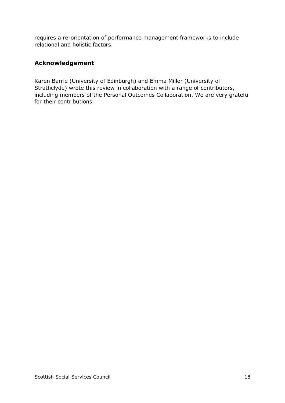requires a re-orientation of performance management frameworks to include relational and holistic factors.

#### <span id="page-18-0"></span>**Acknowledgement**

Karen Barrie (University of Edinburgh) and Emma Miller (University of Strathclyde) wrote this review in collaboration with a range of contributors, including members of the Personal Outcomes Collaboration. We are very grateful for their contributions.